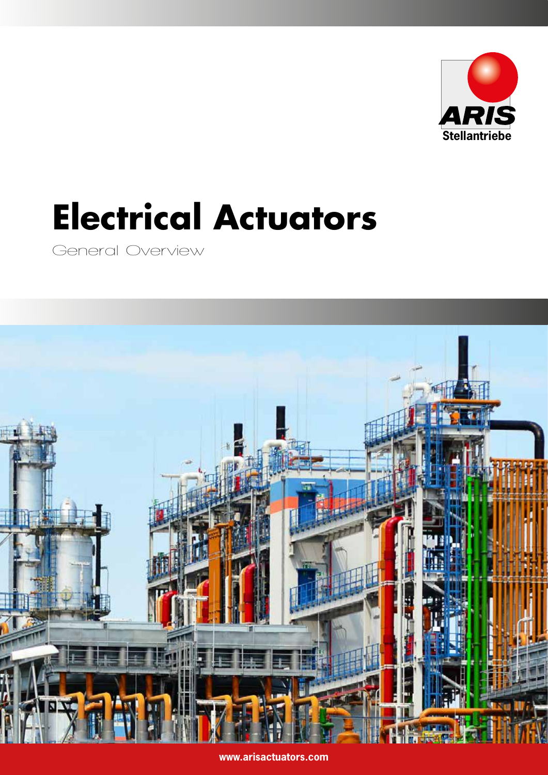

# **Electrical Actuators**

General Overview



**www.arisactuators.com**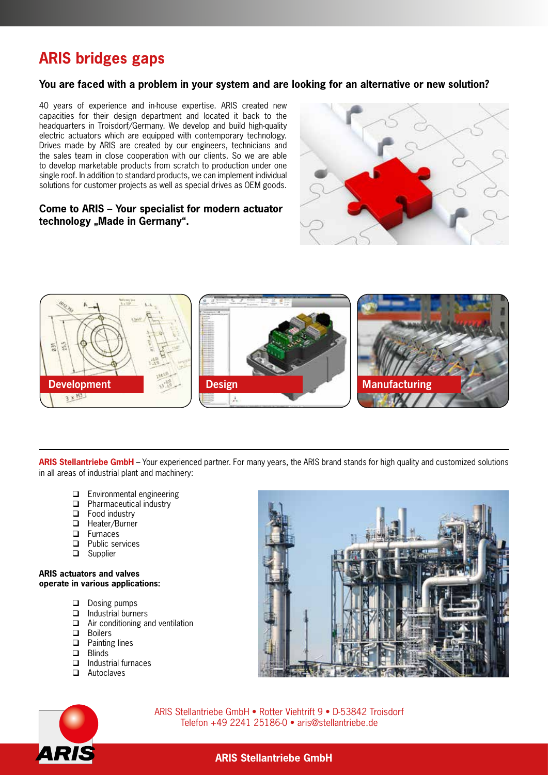# **ARIS bridges gaps**

#### **You are faced with a problem in your system and are looking for an alternative or new solution?**

40 years of experience and in-house expertise. ARIS created new capacities for their design department and located it back to the headquarters in Troisdorf/Germany. We develop and build high-quality electric actuators which are equipped with contemporary technology. Drives made by ARIS are created by our engineers, technicians and the sales team in close cooperation with our clients. So we are able to develop marketable products from scratch to production under one single roof. In addition to standard products, we can implement individual solutions for customer projects as well as special drives as OEM goods.

#### **Come to ARIS** – **Your specialist for modern actuator**  technology "Made in Germany".





**ARIS Stellantriebe GmbH** – Your experienced partner. For many years, the ARIS brand stands for high quality and customized solutions in all areas of industrial plant and machinery:

- $\Box$  Environmental engineering
- **D** Pharmaceutical industry
- $\Box$  Food industry
- □ Heater/Burner
- **D** Furnaces
- **D** Public services
- □ Supplier

#### **ARIS actuators and valves operate in various applications:**

- Dosing pumps
- $\Box$  Industrial burners
- Air conditioning and ventilation
- **D** Boilers
- $\Box$  Painting lines
- **D** Blinds
- $\Box$  Industrial furnaces
- Autoclaves





ARIS Stellantriebe GmbH • Rotter Viehtrift 9 • D-53842 Troisdorf Telefon +49 2241 25186-0 • aris@stellantriebe.de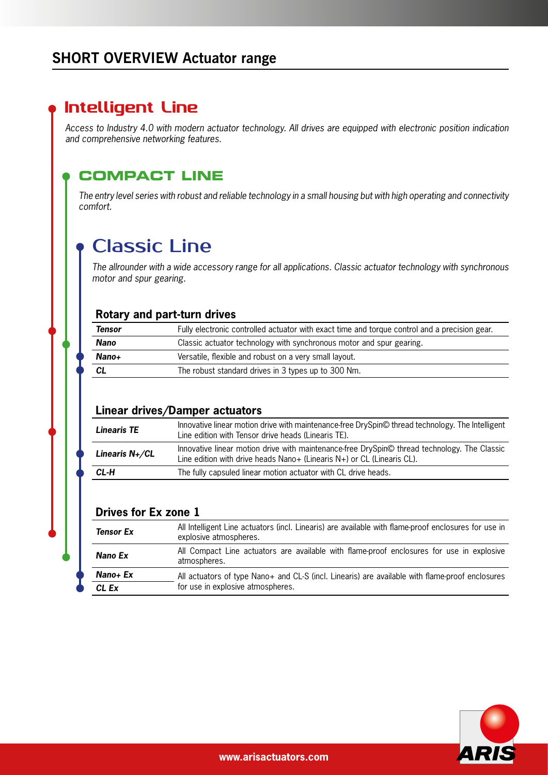## **SHORT OVERVIEW Actuator range**

## Intelligent Line

*Access to Industry 4.0 with modern actuator technology. All drives are equipped with electronic position indication and comprehensive networking features.*

#### **COMPACT LINE**

*The entry level series with robust and reliable technology in a small housing but with high operating and connectivity comfort.*

# Classic Line

*The allrounder with a wide accessory range for all applications. Classic actuator technology with synchronous motor and spur gearing.*

#### **Rotary and part-turn drives**

| Tensor | Fully electronic controlled actuator with exact time and torque control and a precision gear. |
|--------|-----------------------------------------------------------------------------------------------|
| Nano   | Classic actuator technology with synchronous motor and spur gearing.                          |
| Nano+  | Versatile, flexible and robust on a very small layout.                                        |
| CL     | The robust standard drives in 3 types up to 300 Nm.                                           |

#### **Linear drives/Damper actuators**

| Linearis TE       | Innovative linear motion drive with maintenance-free DrySpin© thread technology. The Intelligent<br>Line edition with Tensor drive heads (Linearis TE).                |  |  |  |  |
|-------------------|------------------------------------------------------------------------------------------------------------------------------------------------------------------------|--|--|--|--|
| Linearis $N+$ /CL | Innovative linear motion drive with maintenance-free DrySpin© thread technology. The Classic<br>Line edition with drive heads Nano+ (Linearis N+) or CL (Linearis CL). |  |  |  |  |
| CL-H              | The fully capsuled linear motion actuator with CL drive heads.                                                                                                         |  |  |  |  |

#### **Drives for Ex zone 1**

| <b>Tensor Ex</b> | All Intelligent Line actuators (incl. Linearis) are available with flame-proof enclosures for use in<br>explosive atmospheres. |
|------------------|--------------------------------------------------------------------------------------------------------------------------------|
| Nano Ex          | All Compact Line actuators are available with flame-proof enclosures for use in explosive<br>atmospheres.                      |
| Nano+ Ex         | All actuators of type Nano+ and CL-S (incl. Linearis) are available with flame-proof enclosures                                |
| CL Ex            | for use in explosive atmospheres.                                                                                              |

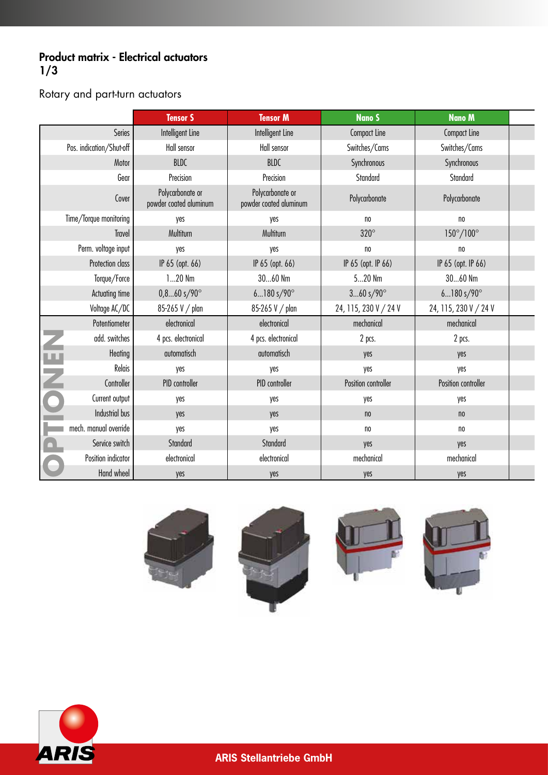#### Product matrix - Electrical actuators  $1/3$

### Rotary and part-turn actuators

|           |                          | <b>Tensor S</b>                            | <b>Tensor M</b>                            | <b>Nano S</b>         | <b>Nano M</b>         |  |
|-----------|--------------------------|--------------------------------------------|--------------------------------------------|-----------------------|-----------------------|--|
|           | Series                   | Intelligent Line                           | Intelligent Line                           | <b>Compact Line</b>   | <b>Compact Line</b>   |  |
|           | Pos. indication/Shut-off | Hall sensor                                | Hall sensor                                | Switches/Cams         | Switches/Cams         |  |
|           | Motor                    | BLDC                                       | BLDC                                       | Synchronous           | Synchronous           |  |
|           | Gear                     | Precision                                  | Precision                                  | Standard              | Standard              |  |
|           | Cover                    | Polycarbonate or<br>powder coated aluminum | Polycarbonate or<br>powder coated aluminum | Polycarbonate         | Polycarbonate         |  |
|           | Time/Torque monitoring   | yes                                        | yes                                        | no                    | n <sub>0</sub>        |  |
|           | Travel                   | Multiturn                                  | Multiturn                                  | $320^\circ$           | 150°/100°             |  |
|           | Perm. voltage input      | yes                                        | yes                                        | no                    | no                    |  |
|           | Protection class         | IP 65 (opt. 66)                            | IP 65 (opt. 66)                            | IP 65 (opt. IP 66)    | IP 65 (opt. IP 66)    |  |
|           | Torque/Force             | $120$ $Nm$                                 | $3060$ Nm                                  | $520$ Nm              | 3060 Nm               |  |
|           | Actuating time           | $0, 860$ s/90 $^{\circ}$                   | $6180s/90^{\circ}$                         | $360 s/90^{\circ}$    | $6180s/90^{\circ}$    |  |
|           | Voltage AC/DC            | 85-265 V / plan                            | 85-265 V / plan                            | 24, 115, 230 V / 24 V | 24, 115, 230 V / 24 V |  |
|           | Potentiometer            | electronical                               | electronical                               | mechanical            | mechanical            |  |
| Z         | add. switches            | 4 pcs. electronical                        | 4 pcs. electronical                        | 2 pcs.                | 2 pcs.                |  |
| <b>LL</b> | Heating                  | automatisch                                | automatisch                                | yes                   | yes                   |  |
|           | Relais                   | yes                                        | yes                                        | yes                   | yes                   |  |
| Z         | Controller               | PID controller                             | PID controller                             | Position controller   | Position controller   |  |
| C         | Current output           | yes                                        | yes                                        | yes                   | yes                   |  |
|           | Industrial bus           | yes                                        | yes                                        | n <sub>0</sub>        | n <sub>0</sub>        |  |
|           | mech. manual override    | yes                                        | yes                                        | no                    | no                    |  |
| $\Box$    | Service switch           | Standard                                   | Standard                                   | yes                   | yes                   |  |
|           | Position indicator       | electronical                               | electronical                               | mechanical            | mechanical            |  |
| $\bullet$ | Hand wheel               | yes                                        | yes                                        | yes                   | yes                   |  |









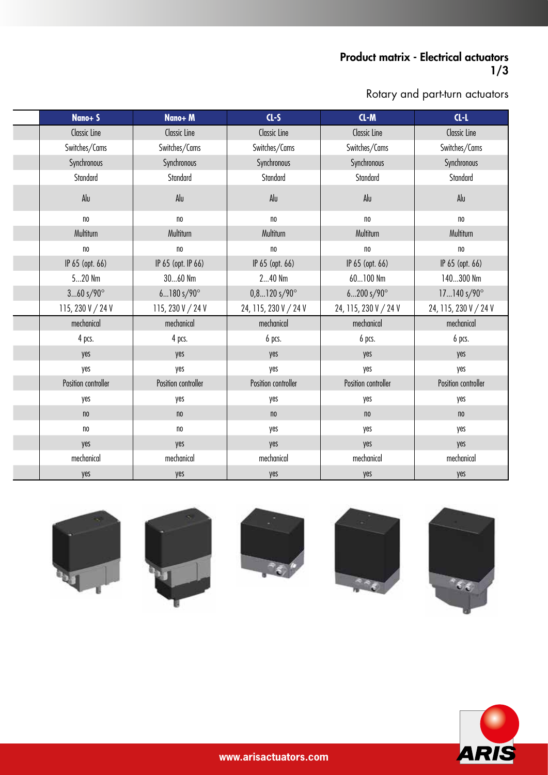#### Product matrix - Electrical actuators 1/3

Rotary and part-turn actuators

| Nano+S              | Nano+M              | $CL-S$                    | $CL-M$                | $CL-1$                |
|---------------------|---------------------|---------------------------|-----------------------|-----------------------|
|                     |                     |                           |                       |                       |
| <b>Classic Line</b> | Classic Line        | <b>Classic Line</b>       | <b>Classic Line</b>   | <b>Classic Line</b>   |
| Switches/Cams       | Switches/Cams       | Switches/Cams             | Switches/Cams         | Switches/Cams         |
| Synchronous         | Synchronous         | Synchronous               | Synchronous           | Synchronous           |
| Standard            | Standard            | Standard                  | Standard              | Standard              |
| Alu                 | Alu                 | Alu                       | Alu                   | Alu                   |
| n <sub>0</sub>      | no                  | n <sub>0</sub>            | no                    | no                    |
| Multiturn           | Multiturn           | Multiturn                 | Multiturn             | Multiturn             |
| no                  | no                  | n <sub>0</sub>            | no                    | n <sub>0</sub>        |
| IP 65 (opt. 66)     | IP 65 (opt. IP 66)  | IP 65 (opt. 66)           | IP 65 (opt. 66)       | IP 65 (opt. 66)       |
| $520$ Nm            | 3060 Nm             | 240 Nm                    | 60100 Nm              | 140300 Nm             |
| $360 s/90^{\circ}$  | $6180s/90^{\circ}$  | $0, 8120$ s/90 $^{\circ}$ | $6200 s/90^{\circ}$   | $17140 s/90^{\circ}$  |
| 115, 230 V / 24 V   | 115, 230 V / 24 V   | 24, 115, 230 V / 24 V     | 24, 115, 230 V / 24 V | 24, 115, 230 V / 24 V |
| mechanical          | mechanical          | mechanical                | mechanical            | mechanical            |
| 4 pcs.              | 4 pcs.              | 6 pcs.                    | 6 pcs.                | 6 pcs.                |
| yes                 | yes                 | yes                       | yes                   | yes                   |
| yes                 | yes                 | yes                       | yes                   | yes                   |
| Position controller | Position controller | Position controller       | Position controller   | Position controller   |
| yes                 | yes                 | yes                       | yes                   | yes                   |
| n <sub>0</sub>      | n <sub>0</sub>      | n <sub>0</sub>            | $\mathsf{no}$         | n <sub>0</sub>        |
| $\mathsf{no}$       | no                  | yes                       | yes                   | yes                   |
| yes                 | yes                 | yes                       | yes                   | yes                   |
| mechanical          | mechanical          | mechanical                | mechanical            | mechanical            |
| yes                 | yes                 | yes                       | yes                   | yes                   |











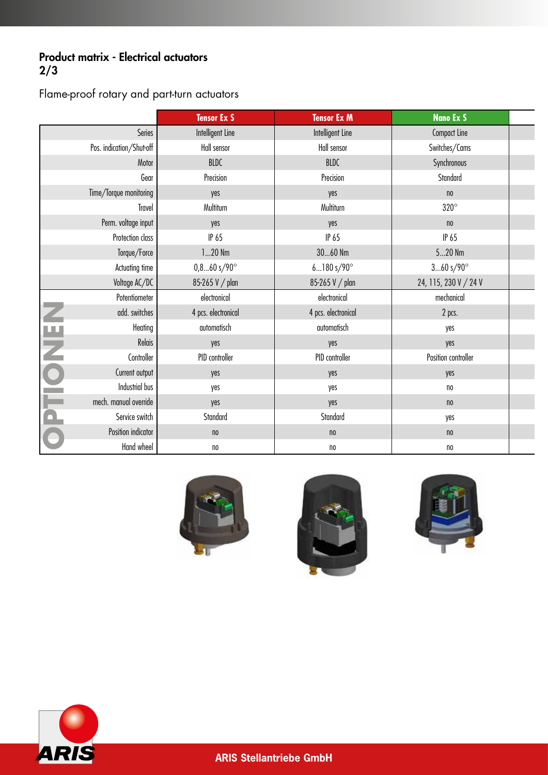#### Product matrix - Electrical actuators 2/3

Flame-proof rotary and part-turn actuators

|                          |                          | <b>Tensor Ex S</b>      | <b>Tensor Ex M</b>  | <b>Nano Ex S</b>      |  |
|--------------------------|--------------------------|-------------------------|---------------------|-----------------------|--|
|                          | Series                   | Intelligent Line        | Intelligent Line    | Compact Line          |  |
|                          | Pos. indication/Shut-off | Hall sensor             | Hall sensor         | Switches/Cams         |  |
|                          | Motor                    | BLDC                    | BLDC                | Synchronous           |  |
|                          | Gear                     | Precision               | Precision           | Standard              |  |
|                          | Time/Torque monitoring   | yes                     | yes                 | n <sub>0</sub>        |  |
|                          | Travel                   | Multiturn               | Multiturn           | $320^\circ$           |  |
|                          | Perm. voltage input      | yes                     | yes                 | n <sub>0</sub>        |  |
|                          | Protection class         | IP 65                   | IP 65               | IP 65                 |  |
|                          | Torque/Force             | $120$ $Nm$              | $3060$ Nm           | $520$ Nm              |  |
|                          | Actuating time           | $0,860$ s/90 $^{\circ}$ | $6180s/90^\circ$    | $360s/90^\circ$       |  |
|                          | Voltage AC/DC            | 85-265 V / plan         | 85-265 V / plan     | 24, 115, 230 V / 24 V |  |
|                          | Potentiometer            | electronical            | electronical        | mechanical            |  |
| Z                        | add. switches            | 4 pcs. electronical     | 4 pcs. electronical | 2 pcs.                |  |
| ш                        | Heating                  | automatisch             | automatisch         | yes                   |  |
|                          | Relais                   | yes                     | yes                 | yes                   |  |
| Z                        | Controller               | PID controller          | PID controller      | Position controller   |  |
|                          | Current output           | yes                     | yes                 | yes                   |  |
|                          | Industrial bus           | yes                     | yes                 | n <sub>0</sub>        |  |
| ╾                        | mech. manual override    | yes                     | yes                 | n <sub>0</sub>        |  |
| $\overline{\phantom{a}}$ | Service switch           | Standard                | Standard            | yes                   |  |
|                          | Position indicator       | $\mathsf{no}$           | n <sub>0</sub>      | n <sub>0</sub>        |  |
|                          | Hand wheel               | n <sub>0</sub>          | no                  | no                    |  |







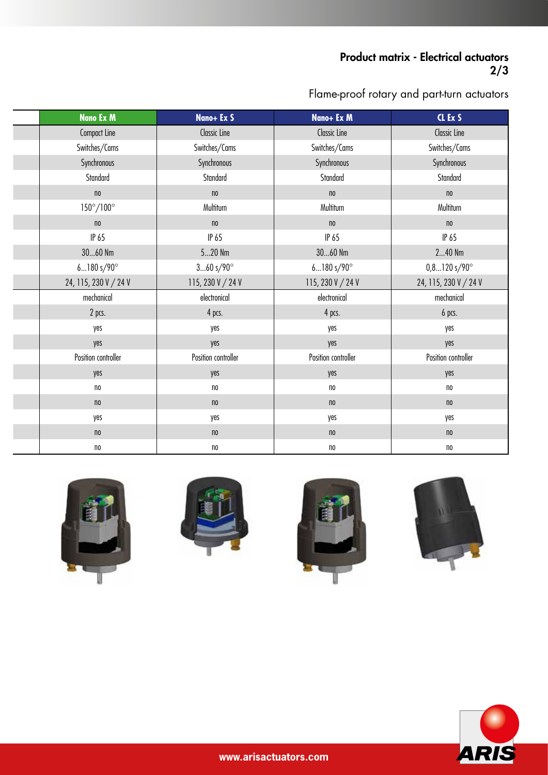#### Product matrix - Electrical actuators 2/3

Flame-proof rotary and part-turn actuators

| <b>Nano Ex M</b>          | Nano+ Ex S          | Nano+ Ex M          | CL Ex S                  |
|---------------------------|---------------------|---------------------|--------------------------|
| Compact Line              | <b>Classic Line</b> | <b>Classic Line</b> | <b>Classic Line</b>      |
| Switches/Cams             | Switches/Cams       | Switches/Cams       | Switches/Cams            |
| Synchronous               | Synchronous         | Synchronous         | Synchronous              |
| Standard                  | Standard            | Standard            | Standard                 |
| n <sub>0</sub>            | $\mathsf{no}$       | n <sub>0</sub>      | $\mathsf{no}$            |
| $150^{\circ}/100^{\circ}$ | Multiturn           | Multiturn           | Multiturn                |
| n <sub>0</sub>            | $\mathsf{no}$       | n <sub>0</sub>      | n <sub>0</sub>           |
| IP 65                     | IP 65               | IP 65               | IP 65                    |
| $3060$ Nm                 | $520$ Nm            | $3060$ Nm           | $240$ Nm                 |
| $6180s/90^{\circ}$        | $360s/90^\circ$     | $6180s/90^\circ$    | $0,8120$ s/90 $^{\circ}$ |
| 24, 115, 230 V / 24 V     | 115, 230 V / 24 V   | 115, 230 V / 24 V   | 24, 115, 230 V / 24 V    |
| mechanical                | electronical        | electronical        | mechanical               |
| 2 pcs.                    | 4 pcs.              | 4 pcs.              | 6 pcs.                   |
| yes                       | yes                 | yes                 | yes                      |
| yes                       | yes                 | yes                 | yes                      |
| Position controller       | Position controller | Position controller | Position controller      |
| yes                       | yes                 | yes                 | yes                      |
| no                        | $\mathsf{no}$       | n <sub>0</sub>      | n <sub>0</sub>           |
| n <sub>0</sub>            | n <sub>0</sub>      | n <sub>0</sub>      | n <sub>0</sub>           |
| yes                       | yes                 | yes                 | yes                      |
| n <sub>0</sub>            | n <sub>0</sub>      | n <sub>0</sub>      | n <sub>0</sub>           |
| n <sub>0</sub>            | $\mathsf{no}$       | $\mathsf{no}$       | n <sub>0</sub>           |









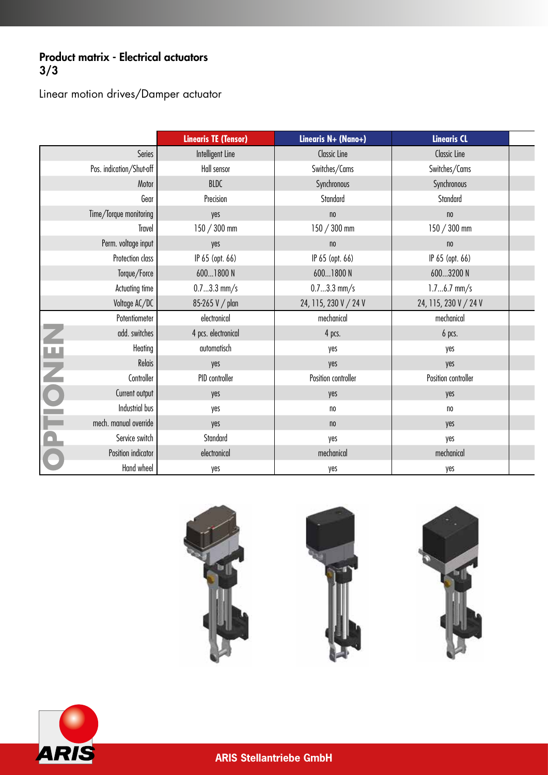#### Product matrix - Electrical actuators 3/3

Linear motion drives/Damper actuator

|                         |                          | <b>Linearis TE (Tensor)</b> | Linearis N+ (Nano+)   | <b>Linearis CL</b>    |  |
|-------------------------|--------------------------|-----------------------------|-----------------------|-----------------------|--|
|                         | Series                   | Intelligent Line            | <b>Classic Line</b>   | <b>Classic Line</b>   |  |
|                         | Pos. indication/Shut-off | Hall sensor                 | Switches/Cams         | Switches/Cams         |  |
|                         | Motor                    | BLDC                        | Synchronous           | Synchronous           |  |
|                         | Gear                     | Precision                   | Standard              | Standard              |  |
|                         | Time/Torque monitoring   | yes                         | n <sub>0</sub>        | n <sub>0</sub>        |  |
|                         | Travel                   | $150 / 300$ mm              | $150 / 300$ mm        | $150 / 300$ mm        |  |
|                         | Perm. voltage input      | yes                         | $\mathsf{no}$         | n <sub>0</sub>        |  |
|                         | Protection class         | IP 65 (opt. 66)             | IP 65 (opt. 66)       | IP 65 (opt. 66)       |  |
|                         | Torque/Force             | 6001800 N                   | 6001800 N             | 6003200 N             |  |
|                         | Actuating time           | $0.73.3$ mm/s               | $0.73.3$ mm/s         | $1.76.7$ mm/s         |  |
|                         | Voltage AC/DC            | 85-265 V / plan             | 24, 115, 230 V / 24 V | 24, 115, 230 V / 24 V |  |
|                         | Potentiometer            | electronical                | mechanical            | mechanical            |  |
| Z                       | add. switches            | 4 pcs. electronical         | 4 pcs.                | 6 pcs.                |  |
| ш                       | Heating                  | automatisch                 | yes                   | yes                   |  |
|                         | Relais                   | yes                         | yes                   | yes                   |  |
| Z                       | Controller               | PID controller              | Position controller   | Position controller   |  |
| $\bullet$               | Current output           | yes                         | yes                   | yes                   |  |
|                         | Industrial bus           | yes                         | $\mathsf{no}$         | $\mathsf{no}$         |  |
| <b>Service</b>          | mech. manual override    | yes                         | n <sub>0</sub>        | yes                   |  |
| $\overline{\mathbf{C}}$ | Service switch           | Standard                    | yes                   | yes                   |  |
|                         | Position indicator       | electronical                | mechanical            | mechanical            |  |
|                         | Hand wheel               | yes                         | yes                   | yes                   |  |



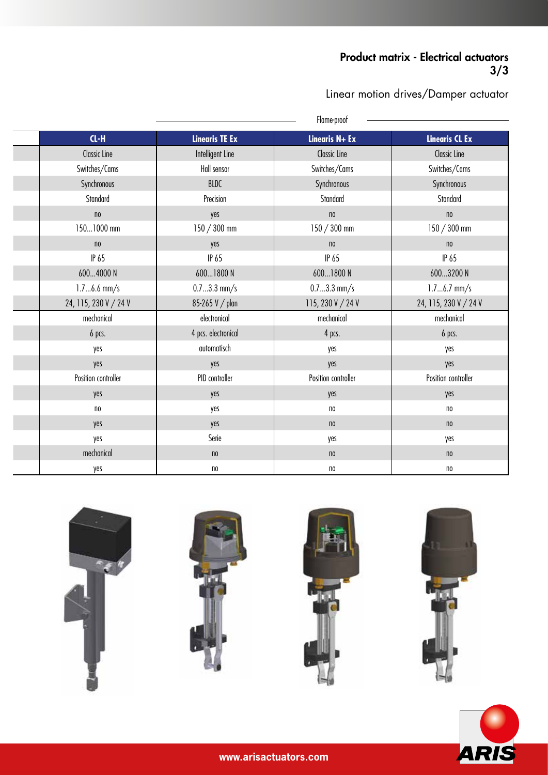#### Product matrix - Electrical actuators  $\frac{1}{3}/3$

Linear motion drives/Damper actuator

|                       |                       | Flame-proof         |                       |
|-----------------------|-----------------------|---------------------|-----------------------|
| $CL-H$                | <b>Linearis TE Ex</b> | Linearis N+ Ex      | <b>Linearis CL Ex</b> |
| Classic Line          | Intelligent Line      | <b>Classic Line</b> | <b>Classic Line</b>   |
| Switches/Cams         | Hall sensor           | Switches/Cams       | Switches/Cams         |
| Synchronous           | BLDC                  | Synchronous         | Synchronous           |
| Standard              | Precision             | Standard            | Standard              |
| n <sub>0</sub>        | yes                   | $\mathsf{no}$       | $\mathsf{no}$         |
| 1501000 mm            | $150 / 300$ mm        | $150 / 300$ mm      | $150 / 300$ mm        |
| n <sub>0</sub>        | yes                   | n <sub>0</sub>      | n <sub>0</sub>        |
| IP 65                 | IP 65                 | IP 65               | IP 65                 |
| 6004000 N             | 6001800 N             | 6001800 N           | 6003200 N             |
| $1.76.6$ mm/s         | $0.73.3$ mm/s         | $0.73.3$ mm/s       | $1.76.7$ mm/s         |
| 24, 115, 230 V / 24 V | 85-265 V / plan       | 115, 230 V / 24 V   | 24, 115, 230 V / 24 V |
| mechanical            | electronical          | mechanical          | mechanical            |
| 6 pcs.                | 4 pcs. electronical   | 4 pcs.              | 6 pcs.                |
| yes                   | automatisch           | yes                 | yes                   |
| yes                   | yes                   | yes                 | yes                   |
| Position controller   | PID controller        | Position controller | Position controller   |
| yes                   | yes                   | yes                 | yes                   |
| n                     | yes                   | n <sub>0</sub>      | n <sub>0</sub>        |
| yes                   | yes                   | n <sub>0</sub>      | n <sub>0</sub>        |
| yes                   | Serie                 | yes                 | yes                   |
| mechanical            | n <sub>0</sub>        | n <sub>0</sub>      | n <sub>0</sub>        |
| yes                   | no                    | no                  | no                    |











**www.arisactuators.com**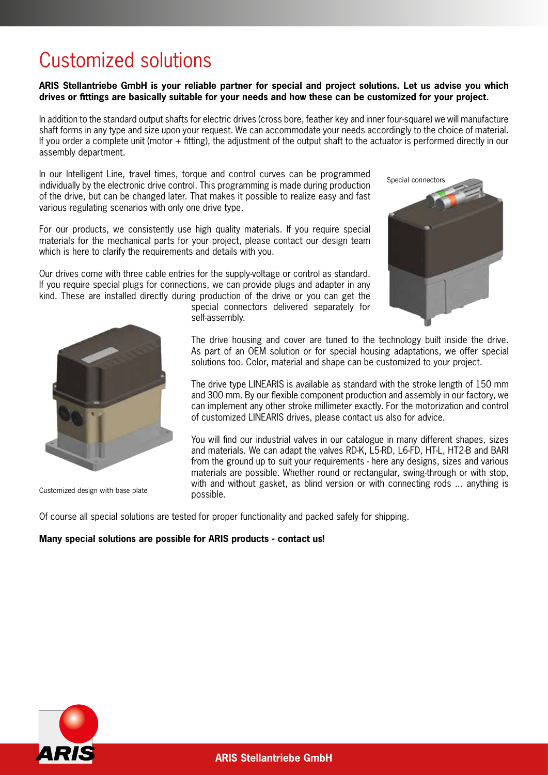# Customized solutions

**ARIS Stellantriebe GmbH is your reliable partner for special and project solutions. Let us advise you which drives or fittings are basically suitable for your needs and how these can be customized for your project.**

In addition to the standard output shafts for electric drives (cross bore, feather key and inner four-square) we will manufacture shaft forms in any type and size upon your request. We can accommodate your needs accordingly to the choice of material. If you order a complete unit (motor + fitting), the adjustment of the output shaft to the actuator is performed directly in our assembly department.

In our Intelligent Line, travel times, torque and control curves can be programmed individually by the electronic drive control. This programming is made during production of the drive, but can be changed later. That makes it possible to realize easy and fast various regulating scenarios with only one drive type.

For our products, we consistently use high quality materials. If you require special materials for the mechanical parts for your project, please contact our design team which is here to clarify the requirements and details with you.

Our drives come with three cable entries for the supply-voltage or control as standard. If you require special plugs for connections, we can provide plugs and adapter in any kind. These are installed directly during production of the drive or you can get the





Customized design with base plate

special connectors delivered separately for self-assembly.

The drive housing and cover are tuned to the technology built inside the drive. As part of an OEM solution or for special housing adaptations, we offer special solutions too. Color, material and shape can be customized to your project.

The drive type LINEARIS is available as standard with the stroke length of 150 mm and 300 mm. By our flexible component production and assembly in our factory, we can implement any other stroke millimeter exactly. For the motorization and control of customized LINEARIS drives, please contact us also for advice.

You will find our industrial valves in our catalogue in many different shapes, sizes and materials. We can adapt the valves RD-K, L5-RD, L6-FD, HT-L, HT2-B and BARI from the ground up to suit your requirements - here any designs, sizes and various materials are possible. Whether round or rectangular, swing-through or with stop, with and without gasket, as blind version or with connecting rods ... anything is possible.

Of course all special solutions are tested for proper functionality and packed safely for shipping.

#### **Many special solutions are possible for ARIS products - contact us!**

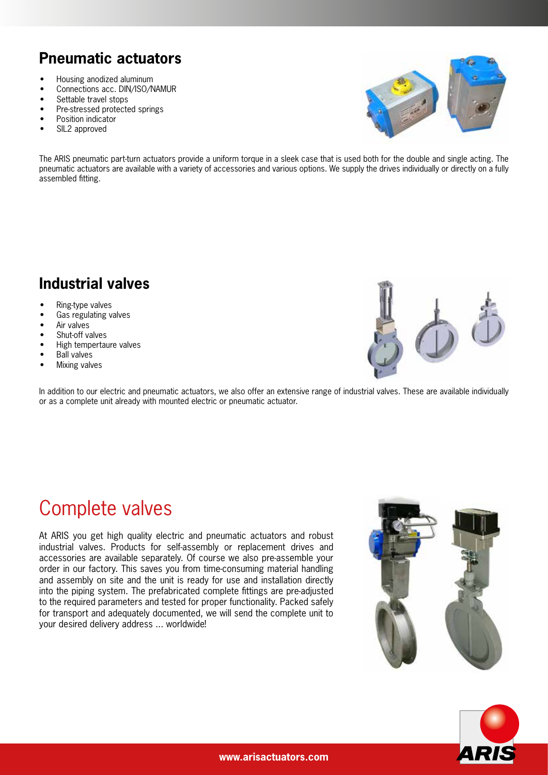# **Pneumatic actuators**

- Housing anodized aluminum
- Connections acc. DIN/ISO/NAMUR<br>• Settable travel stops
- Settable travel stops
- Pre-stressed protected springs
- Position indicator
- SIL2 approved



The ARIS pneumatic part-turn actuators provide a uniform torque in a sleek case that is used both for the double and single acting. The pneumatic actuators are available with a variety of accessories and various options. We supply the drives individually or directly on a fully assembled fitting.

## **Industrial valves**

- Ring-type valves
- Gas regulating valves
- Air valves
- Shut-off valves
- High tempertaure valves
- Ball valves
- Mixing valves

In addition to our electric and pneumatic actuators, we also offer an extensive range of industrial valves. These are available individually or as a complete unit already with mounted electric or pneumatic actuator.

# Complete valves

At ARIS you get high quality electric and pneumatic actuators and robust industrial valves. Products for self-assembly or replacement drives and accessories are available separately. Of course we also pre-assemble your order in our factory. This saves you from time-consuming material handling and assembly on site and the unit is ready for use and installation directly into the piping system. The prefabricated complete fittings are pre-adjusted to the required parameters and tested for proper functionality. Packed safely for transport and adequately documented, we will send the complete unit to your desired delivery address ... worldwide!